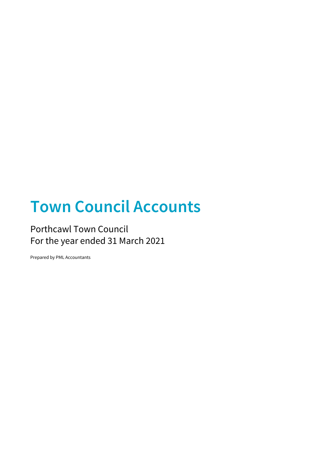# **Town Council Accounts**

### Porthcawl Town Council For the year ended 31 March 2021

Prepared by PML Accountants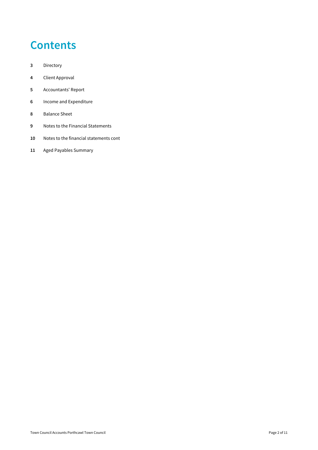### **Contents**

- Directory
- Client Approval
- Accountants' Report
- Income and Expenditure
- Balance Sheet
- Notes to the Financial Statements
- Notes to the financial statements cont
- Aged Payables Summary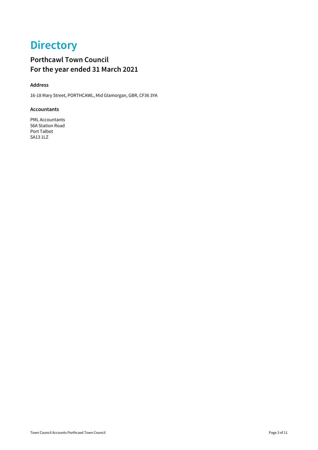# **Directory**

### **Porthcawl Town Council For the year ended 31 March 2021**

#### **Address**

16-18 Mary Street, PORTHCAWL, Mid Glamorgan, GBR, CF36 3YA

#### **Accountants**

PML Accountants 56A Station Road Port Talbot SA13 1LZ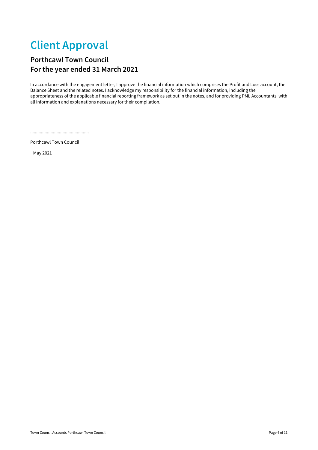### **Client Approval**

#### **Porthcawl Town Council For the year ended 31 March 2021**

In accordance with the engagement letter, I approve the financial information which comprises the Profit and Loss account, the Balance Sheet and the related notes. I acknowledge my responsibility for the financial information, including the appropriateness of the applicable financial reporting framework as set out in the notes, and for providing PML Accountants with all information and explanations necessary for their compilation.

................................................. Porthcawl Town Council

May 2021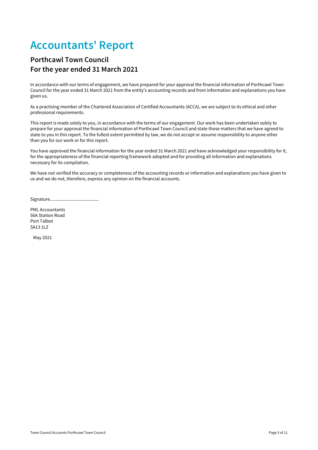### **Accountants' Report**

#### **Porthcawl Town Council For the year ended 31 March 2021**

In accordance with our terms of engagement, we have prepared for your approval the financial information of Porthcawl Town Council for the year ended 31 March 2021 from the entity's accounting records and from information and explanations you have given us.

As a practising member of the Chartered Association of Certified Accountants (ACCA), we are subject to its ethical and other professional requirements.

This report is made solely to you, in accordance with the terms of our engagement. Our work has been undertaken solely to prepare for your approval the financial information of Porthcawl Town Council and state those matters that we have agreed to state to you in this report. To the fullest extent permitted by law, we do not accept or assume responsibility to anyone other than you for our work or for this report.

You have approved the financial information for the year ended 31 March 2021 and have acknowledged your responsibility for it, for the appropriateness of the financial reporting framework adopted and for providing all information and explanations necessary for its compilation.

We have not verified the accuracy or completeness of the accounting records or information and explanations you have given to us and we do not, therefore, express any opinion on the financial accounts.

Signature.........................................

PML Accountants 56A Station Road Port Talbot SA13 1LZ

May 2021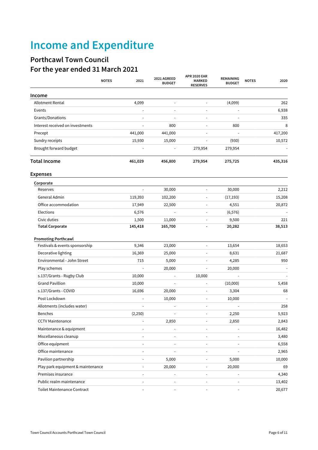# **Income and Expenditure**

### **Porthcawl Town Council For the year ended 31 March 2021**

|                                   | <b>NOTES</b><br>2021 | 2021 AGREED<br><b>BUDGET</b> | <b>APR 2020 EAR</b><br><b>MARKED</b><br><b>RESERVES</b> | REMAINING<br><b>BUDGET</b> | <b>NOTES</b><br>2020 |
|-----------------------------------|----------------------|------------------------------|---------------------------------------------------------|----------------------------|----------------------|
| Income                            |                      |                              |                                                         |                            |                      |
| <b>Allotment Rental</b>           | 4,099                |                              |                                                         | (4,099)                    | 262                  |
| Events                            |                      |                              |                                                         |                            | 6,938                |
| Grants/Donations                  |                      |                              |                                                         |                            | 335                  |
| Interest received on investments  |                      | 800                          |                                                         | 800                        | 8                    |
| Precept                           | 441,000              | 441,000                      |                                                         |                            | 417,200              |
| Sundry receipts                   | 15,930               | 15,000                       | $\blacksquare$                                          | (930)                      | 10,572               |
| Brought forward budget            |                      |                              | 279,954                                                 | 279,954                    |                      |
| <b>Total Income</b>               | 461,029              | 456,800                      | 279,954                                                 | 275,725                    | 435,316              |
| <b>Expenses</b>                   |                      |                              |                                                         |                            |                      |
| Corporate                         |                      |                              |                                                         |                            |                      |
| Reserves                          |                      | 30,000                       |                                                         | 30,000                     | 2,212                |
| General Admin                     | 119,393              | 102,200                      |                                                         | (17, 193)                  | 15,208               |
| Office accommodation              | 17,949               | 22,500                       | $\blacksquare$                                          | 4,551                      | 20,872               |
| Elections                         | 6,576                |                              |                                                         | (6, 576)                   |                      |
| Civic duties                      | 1,500                | 11,000                       |                                                         | 9,500                      | 221                  |
| <b>Total Corporate</b>            | 145,418              | 165,700                      |                                                         | 20,282                     | 38,513               |
| <b>Promoting Porthcawl</b>        |                      |                              |                                                         |                            |                      |
| Festivals & events sponsorship    | 9,346                | 23,000                       |                                                         | 13,654                     | 18,653               |
| Decorative lighting               | 16,369               | 25,000                       |                                                         | 8,631                      | 21,687               |
| Environmental - John Street       | 715                  | 5,000                        |                                                         | 4,285                      | 950                  |
| Play schemes                      |                      | 20,000                       | $\blacksquare$                                          | 20,000                     |                      |
| s.137/Grants - Rugby Club         | 10,000               |                              | 10,000                                                  |                            |                      |
| <b>Grand Pavillion</b>            | 10,000               |                              | $\blacksquare$                                          | (10,000)                   | 5,458                |
| s.137/Grants - COVID              | 16,696               | 20,000                       | $\blacksquare$                                          | 3,304                      | 68                   |
| Post Lockdown                     |                      | 10,000                       |                                                         | 10,000                     |                      |
| Allotments (includes water)       |                      |                              |                                                         |                            | 258                  |
| Benches                           | (2, 250)             |                              |                                                         | 2,250                      | 5,923                |
| <b>CCTV Maintenance</b>           |                      | 2,850                        | $\blacksquare$                                          | 2,850                      | 2,843                |
| Maintenance & equipment           |                      |                              |                                                         |                            | 16,482               |
| Miscellaneous cleanup             |                      |                              |                                                         |                            | 3,480                |
| Office equipment                  |                      |                              |                                                         |                            | 6,558                |
| Office maintenance                |                      |                              |                                                         |                            | 2,965                |
| Pavilion partnership              |                      | 5,000                        |                                                         | 5,000                      | 10,000               |
| Play park equipment & maintenance |                      | 20,000                       |                                                         | 20,000                     | 69                   |
| Premises insurance                |                      |                              | $\blacksquare$                                          |                            | 4,340                |
| Public realm maintenance          |                      |                              |                                                         |                            | 13,402               |
| Toilet Maintenance Contract       |                      |                              |                                                         |                            | 20,677               |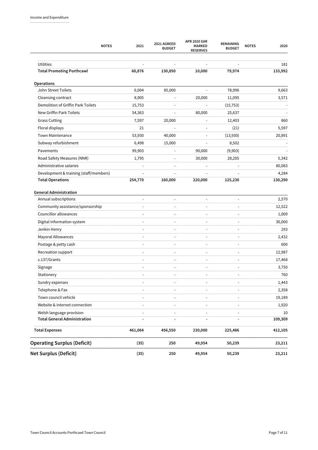| <b>NOTES</b>                                  | 2021    | 2021 AGREED<br><b>BUDGET</b> | <b>APR 2020 EAR</b><br><b>MARKED</b><br><b>RESERVES</b> | <b>REMAINING</b><br><b>BUDGET</b> | <b>NOTES</b><br>2020 |
|-----------------------------------------------|---------|------------------------------|---------------------------------------------------------|-----------------------------------|----------------------|
|                                               |         |                              |                                                         |                                   |                      |
| Utilities<br><b>Total Promoting Porthcawl</b> | 60,876  | 130,850                      | 10,000                                                  | 79,974                            | 181<br>133,992       |
|                                               |         |                              |                                                         |                                   |                      |
| Operations                                    |         |                              |                                                         |                                   |                      |
| John Street Toilets                           | 6,004   | 85,000                       | $\bar{\phantom{a}}$                                     | 78,996                            | 9,663                |
| Cleansing contract                            | 8,905   |                              | 20,000                                                  | 11,095                            | 3,571                |
| Demolition of Griffin Park Toilets            | 15,753  |                              | ÷,                                                      | (15, 753)                         |                      |
| New Griffin Park Toilets                      | 54,363  |                              | 80,000                                                  | 25,637                            |                      |
| <b>Grass Cutting</b>                          | 7,597   | 20,000                       |                                                         | 12,403                            | 860                  |
| Floral displays                               | 21      |                              |                                                         | (21)                              | 5,597                |
| <b>Town Maintenance</b>                       | 53,930  | 40,000                       | $\overline{a}$                                          | (13,930)                          | 20,891               |
| Subway refurbishment                          | 6,498   | 15,000                       |                                                         | 8,502                             |                      |
| Pavements                                     | 99,903  |                              | 90,000                                                  | (9,903)                           |                      |
| Road Safety Measures (NNR)                    | 1,795   |                              | 30,000                                                  | 28,205                            | 5,342                |
| Administrative salaries                       |         |                              |                                                         |                                   | 80,083               |
| Development & training (staff/members)        |         |                              |                                                         |                                   | 4,284                |
| <b>Total Operations</b>                       | 254,770 | 160,000                      | 220,000                                                 | 125,230                           | 130,290              |
| Community assistance/sponsorship              |         |                              | ÷,                                                      | $\blacksquare$                    | 12,522               |
| Annual subscriptions                          |         |                              | L,                                                      |                                   | 2,570                |
| Councillor allowances                         |         |                              |                                                         |                                   | 1,009                |
| Digital information system                    |         |                              |                                                         | L,                                | 30,000               |
| Jenkin Henry                                  |         |                              |                                                         |                                   | 293                  |
| Mayoral Allowances                            |         |                              |                                                         | $\overline{\phantom{a}}$          | 2,432                |
| Postage & petty cash                          |         |                              |                                                         | $\overline{\phantom{a}}$          | 600                  |
| Recreation support                            |         |                              |                                                         | $\overline{\phantom{a}}$          | 12,987               |
| s.137/Grants                                  |         |                              | $\overline{a}$                                          | $\blacksquare$                    | 17,468               |
| Signage                                       |         |                              |                                                         | $\blacksquare$                    | 3,750                |
| Stationery                                    |         |                              |                                                         |                                   | 760                  |
| Sundry expenses                               |         |                              | $\overline{a}$                                          | L,                                | 1,443                |
| Telephone & Fax                               |         |                              |                                                         |                                   | 2,358                |
| Town council vehicle                          |         |                              |                                                         |                                   | 19,189               |
| Website & internet connection                 |         |                              |                                                         | $\frac{1}{2}$                     | 1,920                |
| Welsh language provision                      |         |                              | $\overline{\phantom{a}}$                                |                                   | 10                   |
| <b>Total General Administration</b>           |         |                              | L.                                                      | $\overline{a}$                    | 109,309              |
| <b>Total Expenses</b>                         | 461,064 | 456,550                      | 230,000                                                 | 225,486                           | 412,105              |
| <b>Operating Surplus (Deficit)</b>            | (35)    | 250                          | 49,954                                                  | 50,239                            | 23,211               |
| <b>Net Surplus (Deficit)</b>                  | (35)    | 250                          | 49,954                                                  | 50,239                            | 23,211               |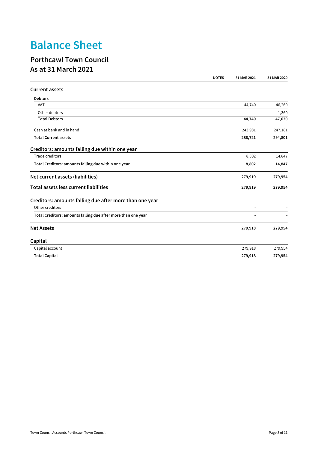# **Balance Sheet**

#### **Porthcawl Town Council As at 31 March 2021**

|                                                               | <b>NOTES</b> | 31 MAR 2021 | 31 MAR 2020 |
|---------------------------------------------------------------|--------------|-------------|-------------|
| <b>Current assets</b>                                         |              |             |             |
| <b>Debtors</b>                                                |              |             |             |
| <b>VAT</b>                                                    |              | 44,740      | 46,260      |
| Other debtors                                                 |              |             | 1,360       |
| <b>Total Debtors</b>                                          |              | 44,740      | 47,620      |
| Cash at bank and in hand                                      |              | 243,981     | 247,181     |
| <b>Total Current assets</b>                                   |              | 288,721     | 294,801     |
| Creditors: amounts falling due within one year                |              |             |             |
| Trade creditors                                               |              | 8,802       | 14,847      |
| Total Creditors: amounts falling due within one year          |              | 8,802       | 14,847      |
| Net current assets (liabilities)                              |              | 279,919     | 279,954     |
| Total assets less current liabilities                         |              | 279,919     | 279,954     |
| Creditors: amounts falling due after more than one year       |              |             |             |
| Other creditors                                               |              |             |             |
| Total Creditors: amounts falling due after more than one year |              |             |             |
| <b>Net Assets</b>                                             |              | 279,918     | 279,954     |
| Capital                                                       |              |             |             |
| Capital account                                               |              | 279,918     | 279,954     |
| <b>Total Capital</b>                                          |              | 279,918     | 279,954     |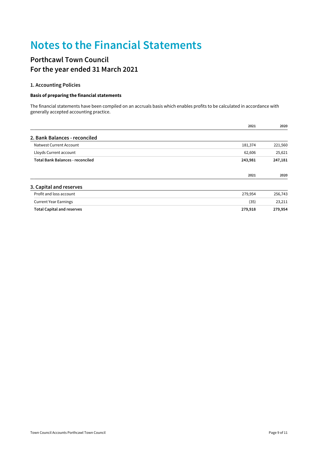### **Notes to the Financial Statements**

#### **Porthcawl Town Council For the year ended 31 March 2021**

#### **1. Accounting Policies**

#### Basis of preparing the financial statements

The financial statements have been compiled on an accruals basis which enables profits to be calculated in accordance with generally accepted accounting practice.

|                                         | 2021    | 2020    |
|-----------------------------------------|---------|---------|
| 2. Bank Balances - reconciled           |         |         |
| Natwest Current Account                 | 181,374 | 221,560 |
| Lloyds Current account                  | 62,606  | 25,621  |
| <b>Total Bank Balances - reconciled</b> | 243,981 | 247,181 |
|                                         | 2021    | 2020    |
| 3. Capital and reserves                 |         |         |
| Profit and loss account                 | 279,954 | 256,743 |
| <b>Current Year Earnings</b>            | (35)    | 23,211  |
| <b>Total Capital and reserves</b>       | 279,918 | 279,954 |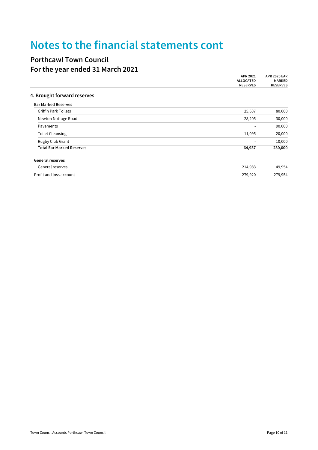### **Notes to the financial statements cont**

#### **Porthcawl Town Council For the year ended 31 March 2021**

|                                  | APR 2021                 | <b>APR 2020 EAR</b>              |
|----------------------------------|--------------------------|----------------------------------|
|                                  | <b>ALLOCATED</b>         | <b>MARKED</b><br><b>RESERVES</b> |
|                                  | <b>RESERVES</b>          |                                  |
| 4. Brought forward reserves      |                          |                                  |
| <b>Ear Marked Reserves</b>       |                          |                                  |
| <b>Griffin Park Toilets</b>      | 25,637                   | 80,000                           |
| Newton Nottage Road              | 28,205                   | 30,000                           |
| Pavements                        | $\overline{\phantom{a}}$ | 90,000                           |
| <b>Toilet Cleansing</b>          | 11,095                   | 20,000                           |
| Rugby Club Grant                 | $\overline{\phantom{a}}$ | 10,000                           |
| <b>Total Ear Marked Reserves</b> | 64,937                   | 230,000                          |
| <b>General reserves</b>          |                          |                                  |
| General reserves                 | 214,983                  | 49,954                           |
| Profit and loss account          | 279,920                  | 279,954                          |